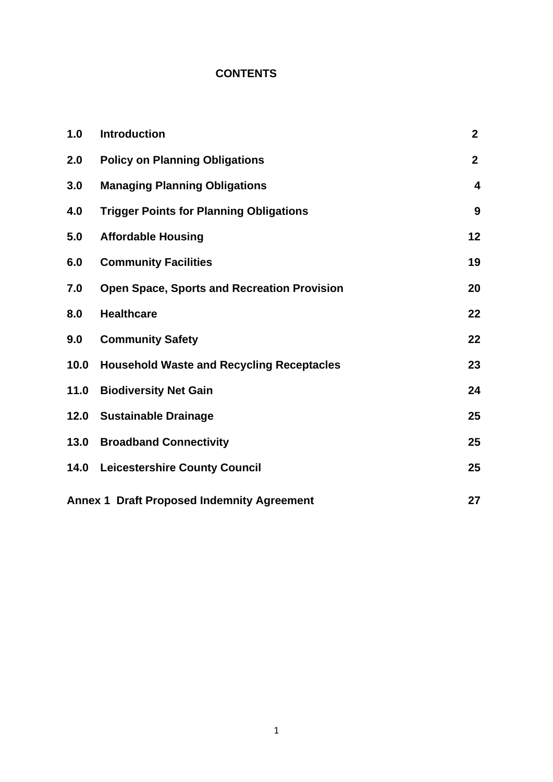# **CONTENTS**

| 1.0  | <b>Introduction</b>                                | $\mathbf{2}$ |
|------|----------------------------------------------------|--------------|
| 2.0  | <b>Policy on Planning Obligations</b>              | $\mathbf{2}$ |
| 3.0  | <b>Managing Planning Obligations</b>               | 4            |
| 4.0  | <b>Trigger Points for Planning Obligations</b>     | 9            |
| 5.0  | <b>Affordable Housing</b>                          | 12           |
| 6.0  | <b>Community Facilities</b>                        | 19           |
| 7.0  | <b>Open Space, Sports and Recreation Provision</b> | 20           |
| 8.0  | <b>Healthcare</b>                                  | 22           |
| 9.0  | <b>Community Safety</b>                            | 22           |
| 10.0 | <b>Household Waste and Recycling Receptacles</b>   | 23           |
| 11.0 | <b>Biodiversity Net Gain</b>                       | 24           |
| 12.0 | <b>Sustainable Drainage</b>                        | 25           |
| 13.0 | <b>Broadband Connectivity</b>                      | 25           |
| 14.0 | <b>Leicestershire County Council</b>               | 25           |
|      | <b>Annex 1 Draft Proposed Indemnity Agreement</b>  | 27           |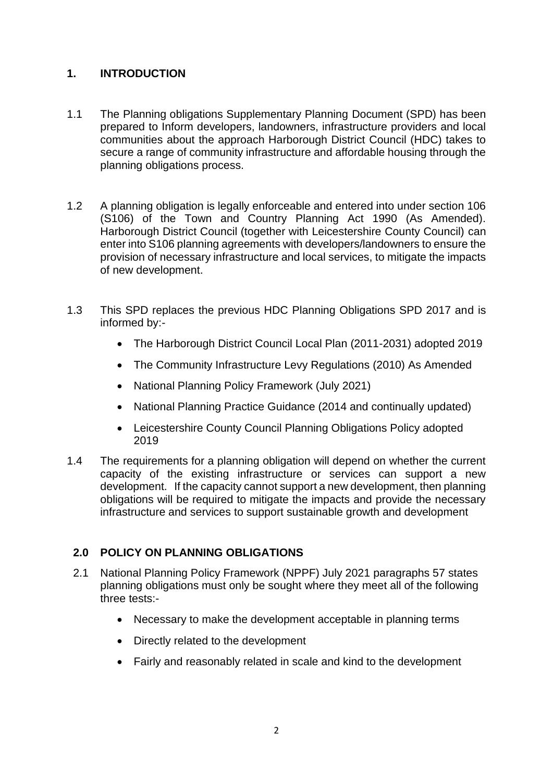# **1. INTRODUCTION**

- 1.1 The Planning obligations Supplementary Planning Document (SPD) has been prepared to Inform developers, landowners, infrastructure providers and local communities about the approach Harborough District Council (HDC) takes to secure a range of community infrastructure and affordable housing through the planning obligations process.
- 1.2 A planning obligation is legally enforceable and entered into under section 106 (S106) of the Town and Country Planning Act 1990 (As Amended). Harborough District Council (together with Leicestershire County Council) can enter into S106 planning agreements with developers/landowners to ensure the provision of necessary infrastructure and local services, to mitigate the impacts of new development.
- 1.3 This SPD replaces the previous HDC Planning Obligations SPD 2017 and is informed by:-
	- The Harborough District Council Local Plan (2011-2031) adopted 2019
	- The Community Infrastructure Levy Regulations (2010) As Amended
	- National Planning Policy Framework (July 2021)
	- National Planning Practice Guidance (2014 and continually updated)
	- Leicestershire County Council Planning Obligations Policy adopted 2019
- 1.4 The requirements for a planning obligation will depend on whether the current capacity of the existing infrastructure or services can support a new development. If the capacity cannot support a new development, then planning obligations will be required to mitigate the impacts and provide the necessary infrastructure and services to support sustainable growth and development

# **2.0 POLICY ON PLANNING OBLIGATIONS**

- 2.1 National Planning Policy Framework (NPPF) July 2021 paragraphs 57 states planning obligations must only be sought where they meet all of the following three tests:-
	- Necessary to make the development acceptable in planning terms
	- Directly related to the development
	- Fairly and reasonably related in scale and kind to the development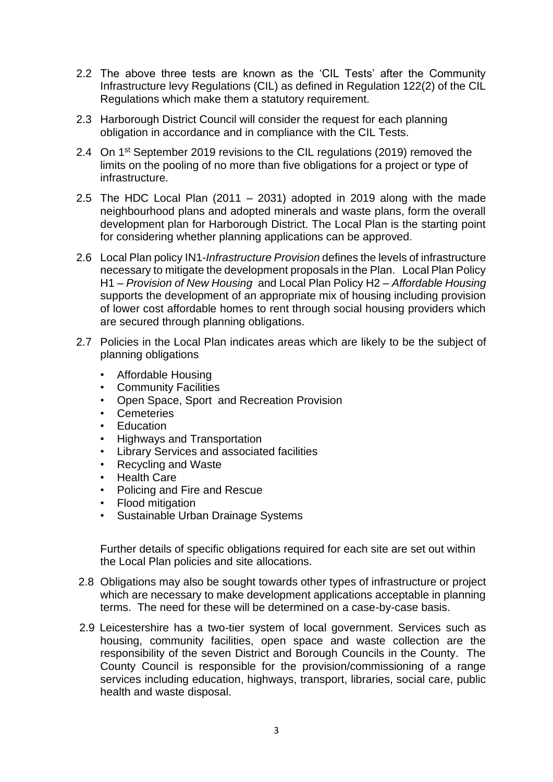- 2.2 The above three tests are known as the 'CIL Tests' after the Community Infrastructure levy Regulations (CIL) as defined in Regulation 122(2) of the CIL Regulations which make them a statutory requirement.
- 2.3 Harborough District Council will consider the request for each planning obligation in accordance and in compliance with the CIL Tests.
- 2.4 On 1<sup>st</sup> September 2019 revisions to the CIL regulations (2019) removed the limits on the pooling of no more than five obligations for a project or type of infrastructure.
- 2.5 The HDC Local Plan  $(2011 2031)$  adopted in 2019 along with the made neighbourhood plans and adopted minerals and waste plans, form the overall development plan for Harborough District. The Local Plan is the starting point for considering whether planning applications can be approved.
- 2.6 Local Plan policy IN1-*Infrastructure Provision* defines the levels of infrastructure necessary to mitigate the development proposals in the Plan. Local Plan Policy H1 – *Provision of New Housing* and Local Plan Policy H2 – *Affordable Housing* supports the development of an appropriate mix of housing including provision of lower cost affordable homes to rent through social housing providers which are secured through planning obligations.
- 2.7 Policies in the Local Plan indicates areas which are likely to be the subject of planning obligations
	- Affordable Housing
	- Community Facilities
	- Open Space, Sport and Recreation Provision
	- Cemeteries
	- Education
	- Highways and Transportation
	- Library Services and associated facilities
	- Recycling and Waste
	- Health Care
	- Policing and Fire and Rescue
	- Flood mitigation
	- Sustainable Urban Drainage Systems

Further details of specific obligations required for each site are set out within the Local Plan policies and site allocations.

- 2.8 Obligations may also be sought towards other types of infrastructure or project which are necessary to make development applications acceptable in planning terms. The need for these will be determined on a case-by-case basis.
- 2.9 Leicestershire has a two-tier system of local government. Services such as housing, community facilities, open space and waste collection are the responsibility of the seven District and Borough Councils in the County. The County Council is responsible for the provision/commissioning of a range services including education, highways, transport, libraries, social care, public health and waste disposal.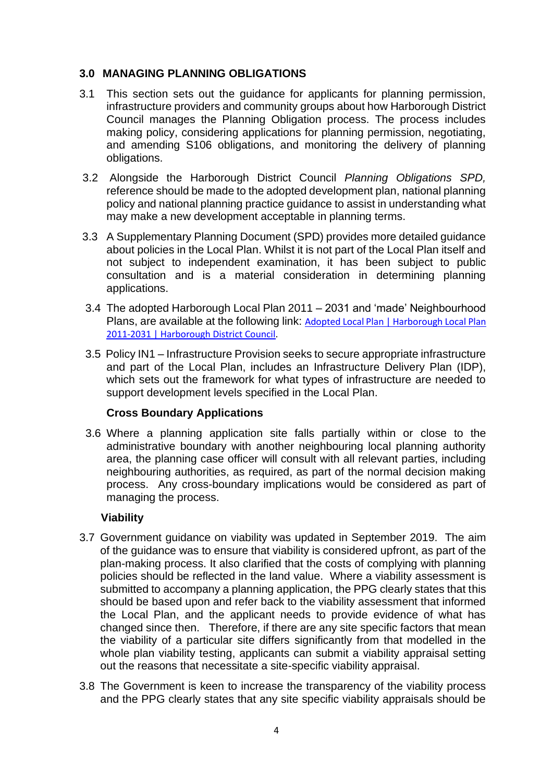# **3.0 MANAGING PLANNING OBLIGATIONS**

- 3.1 This section sets out the guidance for applicants for planning permission, infrastructure providers and community groups about how Harborough District Council manages the Planning Obligation process. The process includes making policy, considering applications for planning permission, negotiating, and amending S106 obligations, and monitoring the delivery of planning obligations.
- 3.2 Alongside the Harborough District Council *Planning Obligations SPD,* reference should be made to the adopted development plan, national planning policy and national planning practice guidance to assist in understanding what may make a new development acceptable in planning terms.
- 3.3 A Supplementary Planning Document (SPD) provides more detailed guidance about policies in the Local Plan. Whilst it is not part of the Local Plan itself and not subject to independent examination, it has been subject to public consultation and is a material consideration in determining planning applications.
- 3.4 The adopted Harborough Local Plan 2011 2031 and 'made' Neighbourhood Plans, are available at the following link: [Adopted Local Plan | Harborough Local Plan](https://www.harborough.gov.uk/local-plan)  [2011-2031 | Harborough District Council.](https://www.harborough.gov.uk/local-plan)
- 3.5 Policy IN1 Infrastructure Provision seeks to secure appropriate infrastructure and part of the Local Plan, includes an Infrastructure Delivery Plan (IDP), which sets out the framework for what types of infrastructure are needed to support development levels specified in the Local Plan.

#### **Cross Boundary Applications**

 3.6 Where a planning application site falls partially within or close to the administrative boundary with another neighbouring local planning authority area, the planning case officer will consult with all relevant parties, including neighbouring authorities, as required, as part of the normal decision making process. Any cross-boundary implications would be considered as part of managing the process.

# **Viability**

- 3.7 Government guidance on viability was updated in September 2019. The aim of the guidance was to ensure that viability is considered upfront, as part of the plan-making process. It also clarified that the costs of complying with planning policies should be reflected in the land value. Where a viability assessment is submitted to accompany a planning application, the PPG clearly states that this should be based upon and refer back to the viability assessment that informed the Local Plan, and the applicant needs to provide evidence of what has changed since then. Therefore, if there are any site specific factors that mean the viability of a particular site differs significantly from that modelled in the whole plan viability testing, applicants can submit a viability appraisal setting out the reasons that necessitate a site-specific viability appraisal.
- 3.8 The Government is keen to increase the transparency of the viability process and the PPG clearly states that any site specific viability appraisals should be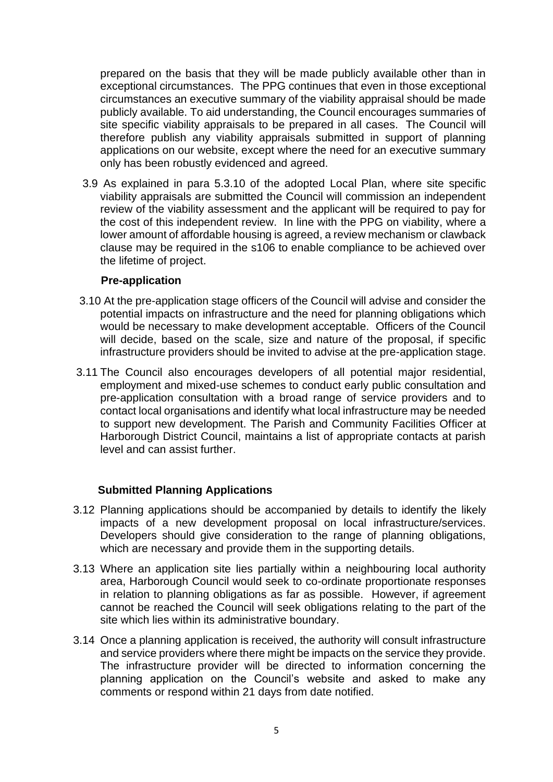prepared on the basis that they will be made publicly available other than in exceptional circumstances. The PPG continues that even in those exceptional circumstances an executive summary of the viability appraisal should be made publicly available. To aid understanding, the Council encourages summaries of site specific viability appraisals to be prepared in all cases. The Council will therefore publish any viability appraisals submitted in support of planning applications on our website, except where the need for an executive summary only has been robustly evidenced and agreed.

 3.9 As explained in para 5.3.10 of the adopted Local Plan, where site specific viability appraisals are submitted the Council will commission an independent review of the viability assessment and the applicant will be required to pay for the cost of this independent review. In line with the PPG on viability, where a lower amount of affordable housing is agreed, a review mechanism or clawback clause may be required in the s106 to enable compliance to be achieved over the lifetime of project.

#### **Pre-application**

- 3.10 At the pre-application stage officers of the Council will advise and consider the potential impacts on infrastructure and the need for planning obligations which would be necessary to make development acceptable. Officers of the Council will decide, based on the scale, size and nature of the proposal, if specific infrastructure providers should be invited to advise at the pre-application stage.
- 3.11 The Council also encourages developers of all potential major residential, employment and mixed-use schemes to conduct early public consultation and pre-application consultation with a broad range of service providers and to contact local organisations and identify what local infrastructure may be needed to support new development. The Parish and Community Facilities Officer at Harborough District Council, maintains a list of appropriate contacts at parish level and can assist further.

#### **Submitted Planning Applications**

- 3.12 Planning applications should be accompanied by details to identify the likely impacts of a new development proposal on local infrastructure/services. Developers should give consideration to the range of planning obligations, which are necessary and provide them in the supporting details.
- 3.13 Where an application site lies partially within a neighbouring local authority area, Harborough Council would seek to co-ordinate proportionate responses in relation to planning obligations as far as possible. However, if agreement cannot be reached the Council will seek obligations relating to the part of the site which lies within its administrative boundary.
- 3.14 Once a planning application is received, the authority will consult infrastructure and service providers where there might be impacts on the service they provide. The infrastructure provider will be directed to information concerning the planning application on the Council's website and asked to make any comments or respond within 21 days from date notified.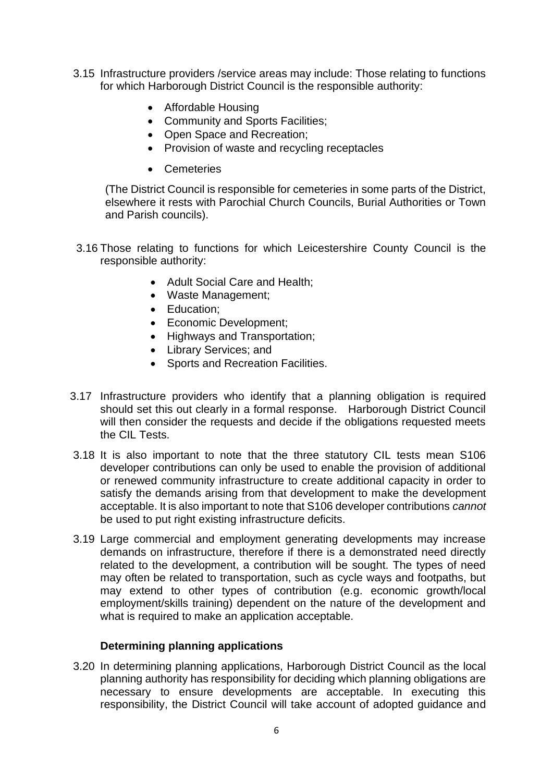- 3.15 Infrastructure providers /service areas may include: Those relating to functions for which Harborough District Council is the responsible authority:
	- Affordable Housing
	- Community and Sports Facilities;
	- Open Space and Recreation;
	- Provision of waste and recycling receptacles
	- Cemeteries

(The District Council is responsible for cemeteries in some parts of the District, elsewhere it rests with Parochial Church Councils, Burial Authorities or Town and Parish councils).

- 3.16 Those relating to functions for which Leicestershire County Council is the responsible authority:
	- Adult Social Care and Health;
	- Waste Management;
	- Education;
	- Economic Development;
	- Highways and Transportation;
	- Library Services; and
	- Sports and Recreation Facilities.
- 3.17 Infrastructure providers who identify that a planning obligation is required should set this out clearly in a formal response. Harborough District Council will then consider the requests and decide if the obligations requested meets the CIL Tests.
- 3.18 It is also important to note that the three statutory CIL tests mean S106 developer contributions can only be used to enable the provision of additional or renewed community infrastructure to create additional capacity in order to satisfy the demands arising from that development to make the development acceptable. It is also important to note that S106 developer contributions *cannot*  be used to put right existing infrastructure deficits.
- 3.19 Large commercial and employment generating developments may increase demands on infrastructure, therefore if there is a demonstrated need directly related to the development, a contribution will be sought. The types of need may often be related to transportation, such as cycle ways and footpaths, but may extend to other types of contribution (e.g. economic growth/local employment/skills training) dependent on the nature of the development and what is required to make an application acceptable.

# **Determining planning applications**

 3.20 In determining planning applications, Harborough District Council as the local planning authority has responsibility for deciding which planning obligations are necessary to ensure developments are acceptable. In executing this responsibility, the District Council will take account of adopted guidance and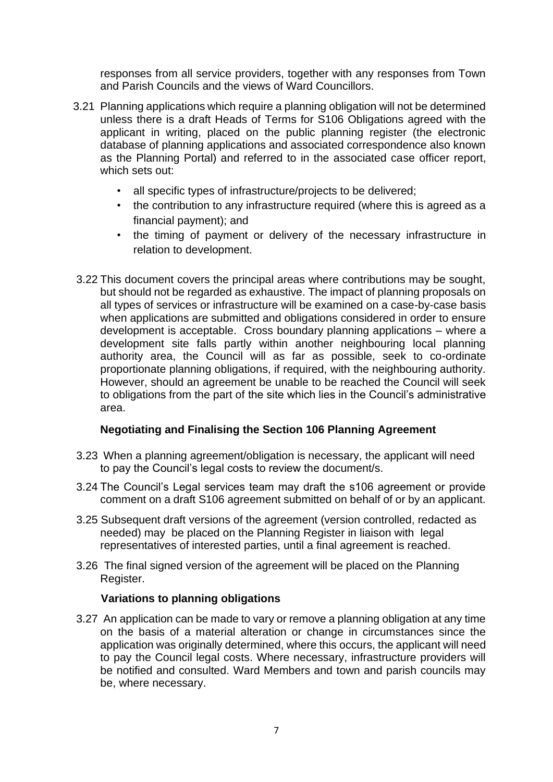responses from all service providers, together with any responses from Town and Parish Councils and the views of Ward Councillors.

- 3.21 Planning applications which require a planning obligation will not be determined unless there is a draft Heads of Terms for S106 Obligations agreed with the applicant in writing, placed on the public planning register (the electronic database of planning applications and associated correspondence also known as the Planning Portal) and referred to in the associated case officer report, which sets out:
	- all specific types of infrastructure/projects to be delivered;
	- the contribution to any infrastructure required (where this is agreed as a financial payment); and
	- the timing of payment or delivery of the necessary infrastructure in relation to development.
- 3.22 This document covers the principal areas where contributions may be sought, but should not be regarded as exhaustive. The impact of planning proposals on all types of services or infrastructure will be examined on a case-by-case basis when applications are submitted and obligations considered in order to ensure development is acceptable. Cross boundary planning applications – where a development site falls partly within another neighbouring local planning authority area, the Council will as far as possible, seek to co-ordinate proportionate planning obligations, if required, with the neighbouring authority. However, should an agreement be unable to be reached the Council will seek to obligations from the part of the site which lies in the Council's administrative area.

#### **Negotiating and Finalising the Section 106 Planning Agreement**

- 3.23 When a planning agreement/obligation is necessary, the applicant will need to pay the Council's legal costs to review the document/s.
- 3.24 The Council's Legal services team may draft the s106 agreement or provide comment on a draft S106 agreement submitted on behalf of or by an applicant.
- 3.25 Subsequent draft versions of the agreement (version controlled, redacted as needed) may be placed on the Planning Register in liaison with legal representatives of interested parties, until a final agreement is reached.
- 3.26 The final signed version of the agreement will be placed on the Planning Register.

#### **Variations to planning obligations**

 3.27 An application can be made to vary or remove a planning obligation at any time on the basis of a material alteration or change in circumstances since the application was originally determined, where this occurs, the applicant will need to pay the Council legal costs. Where necessary, infrastructure providers will be notified and consulted. Ward Members and town and parish councils may be, where necessary.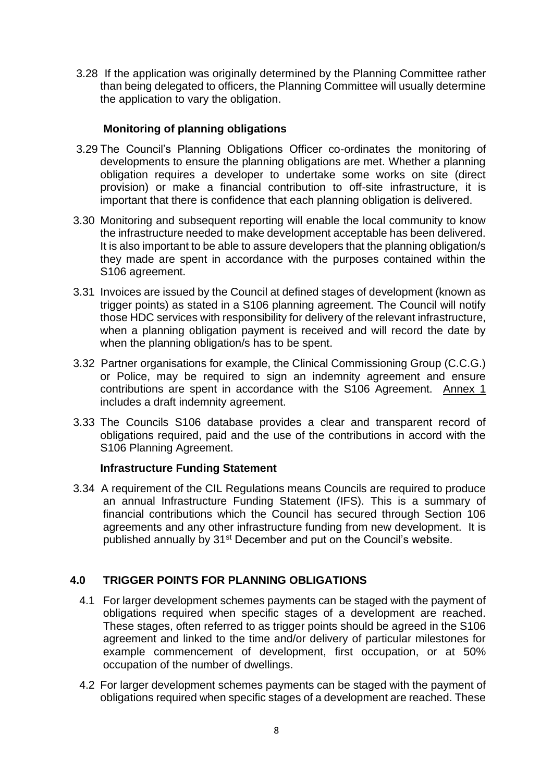3.28 If the application was originally determined by the Planning Committee rather than being delegated to officers, the Planning Committee will usually determine the application to vary the obligation.

# **Monitoring of planning obligations**

- 3.29 The Council's Planning Obligations Officer co-ordinates the monitoring of developments to ensure the planning obligations are met. Whether a planning obligation requires a developer to undertake some works on site (direct provision) or make a financial contribution to off-site infrastructure, it is important that there is confidence that each planning obligation is delivered.
- 3.30 Monitoring and subsequent reporting will enable the local community to know the infrastructure needed to make development acceptable has been delivered. It is also important to be able to assure developers that the planning obligation/s they made are spent in accordance with the purposes contained within the S106 agreement.
- 3.31 Invoices are issued by the Council at defined stages of development (known as trigger points) as stated in a S106 planning agreement. The Council will notify those HDC services with responsibility for delivery of the relevant infrastructure, when a planning obligation payment is received and will record the date by when the planning obligation/s has to be spent.
- 3.32 Partner organisations for example, the Clinical Commissioning Group (C.C.G.) or Police, may be required to sign an indemnity agreement and ensure contributions are spent in accordance with the S106 Agreement. Annex 1 includes a draft indemnity agreement.
- 3.33 The Councils S106 database provides a clear and transparent record of obligations required, paid and the use of the contributions in accord with the S106 Planning Agreement.

# **Infrastructure Funding Statement**

 3.34 A requirement of the CIL Regulations means Councils are required to produce an annual Infrastructure Funding Statement (IFS). This is a summary of financial contributions which the Council has secured through Section 106 agreements and any other infrastructure funding from new development. It is published annually by 31<sup>st</sup> December and put on the Council's website.

# **4.0 TRIGGER POINTS FOR PLANNING OBLIGATIONS**

- 4.1 For larger development schemes payments can be staged with the payment of obligations required when specific stages of a development are reached. These stages, often referred to as trigger points should be agreed in the S106 agreement and linked to the time and/or delivery of particular milestones for example commencement of development, first occupation, or at 50% occupation of the number of dwellings.
- 4.2 For larger development schemes payments can be staged with the payment of obligations required when specific stages of a development are reached. These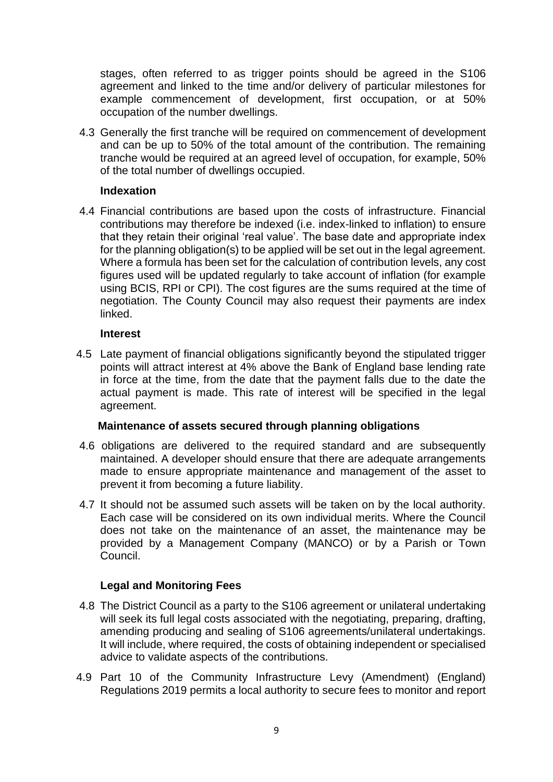stages, often referred to as trigger points should be agreed in the S106 agreement and linked to the time and/or delivery of particular milestones for example commencement of development, first occupation, or at 50% occupation of the number dwellings.

 4.3 Generally the first tranche will be required on commencement of development and can be up to 50% of the total amount of the contribution. The remaining tranche would be required at an agreed level of occupation, for example, 50% of the total number of dwellings occupied.

#### **Indexation**

 4.4 Financial contributions are based upon the costs of infrastructure. Financial contributions may therefore be indexed (i.e. index-linked to inflation) to ensure that they retain their original 'real value'. The base date and appropriate index for the planning obligation(s) to be applied will be set out in the legal agreement. Where a formula has been set for the calculation of contribution levels, any cost figures used will be updated regularly to take account of inflation (for example using BCIS, RPI or CPI). The cost figures are the sums required at the time of negotiation. The County Council may also request their payments are index linked.

#### **Interest**

 4.5 Late payment of financial obligations significantly beyond the stipulated trigger points will attract interest at 4% above the Bank of England base lending rate in force at the time, from the date that the payment falls due to the date the actual payment is made. This rate of interest will be specified in the legal agreement.

#### **Maintenance of assets secured through planning obligations**

- 4.6 obligations are delivered to the required standard and are subsequently maintained. A developer should ensure that there are adequate arrangements made to ensure appropriate maintenance and management of the asset to prevent it from becoming a future liability.
- 4.7 It should not be assumed such assets will be taken on by the local authority. Each case will be considered on its own individual merits. Where the Council does not take on the maintenance of an asset, the maintenance may be provided by a Management Company (MANCO) or by a Parish or Town Council.

#### **Legal and Monitoring Fees**

- 4.8 The District Council as a party to the S106 agreement or unilateral undertaking will seek its full legal costs associated with the negotiating, preparing, drafting, amending producing and sealing of S106 agreements/unilateral undertakings. It will include, where required, the costs of obtaining independent or specialised advice to validate aspects of the contributions.
- 4.9 Part 10 of the Community Infrastructure Levy (Amendment) (England) Regulations 2019 permits a local authority to secure fees to monitor and report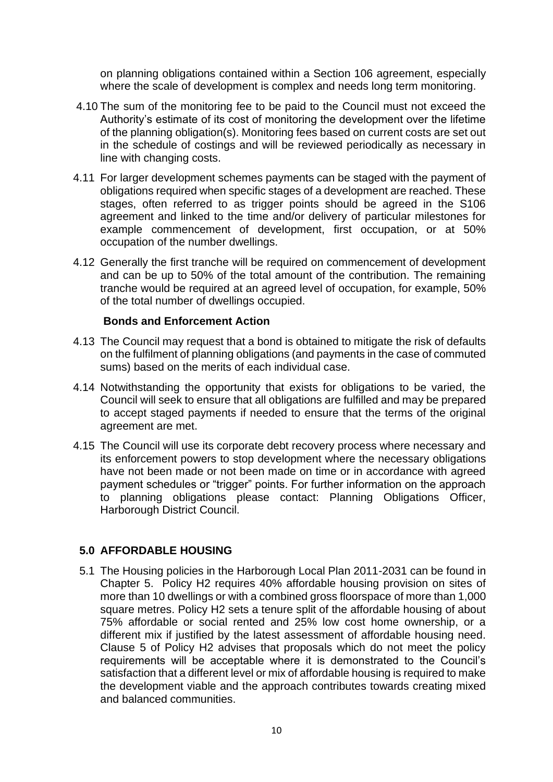on planning obligations contained within a Section 106 agreement, especially where the scale of development is complex and needs long term monitoring.

- 4.10 The sum of the monitoring fee to be paid to the Council must not exceed the Authority's estimate of its cost of monitoring the development over the lifetime of the planning obligation(s). Monitoring fees based on current costs are set out in the schedule of costings and will be reviewed periodically as necessary in line with changing costs.
- 4.11 For larger development schemes payments can be staged with the payment of obligations required when specific stages of a development are reached. These stages, often referred to as trigger points should be agreed in the S106 agreement and linked to the time and/or delivery of particular milestones for example commencement of development, first occupation, or at 50% occupation of the number dwellings.
- 4.12 Generally the first tranche will be required on commencement of development and can be up to 50% of the total amount of the contribution. The remaining tranche would be required at an agreed level of occupation, for example, 50% of the total number of dwellings occupied.

#### **Bonds and Enforcement Action**

- 4.13 The Council may request that a bond is obtained to mitigate the risk of defaults on the fulfilment of planning obligations (and payments in the case of commuted sums) based on the merits of each individual case.
- 4.14 Notwithstanding the opportunity that exists for obligations to be varied, the Council will seek to ensure that all obligations are fulfilled and may be prepared to accept staged payments if needed to ensure that the terms of the original agreement are met.
- 4.15 The Council will use its corporate debt recovery process where necessary and its enforcement powers to stop development where the necessary obligations have not been made or not been made on time or in accordance with agreed payment schedules or "trigger" points. For further information on the approach to planning obligations please contact: Planning Obligations Officer, Harborough District Council.

#### **5.0 AFFORDABLE HOUSING**

 5.1 The Housing policies in the Harborough Local Plan 2011-2031 can be found in Chapter 5. Policy H2 requires 40% affordable housing provision on sites of more than 10 dwellings or with a combined gross floorspace of more than 1,000 square metres. Policy H2 sets a tenure split of the affordable housing of about 75% affordable or social rented and 25% low cost home ownership, or a different mix if justified by the latest assessment of affordable housing need. Clause 5 of Policy H2 advises that proposals which do not meet the policy requirements will be acceptable where it is demonstrated to the Council's satisfaction that a different level or mix of affordable housing is required to make the development viable and the approach contributes towards creating mixed and balanced communities.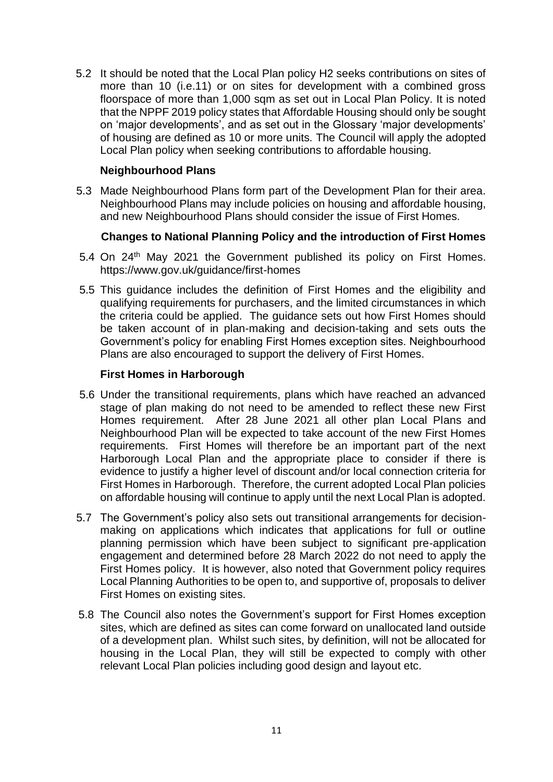5.2 It should be noted that the Local Plan policy H2 seeks contributions on sites of more than 10 (i.e.11) or on sites for development with a combined gross floorspace of more than 1,000 sqm as set out in Local Plan Policy. It is noted that the NPPF 2019 policy states that Affordable Housing should only be sought on 'major developments', and as set out in the Glossary 'major developments' of housing are defined as 10 or more units. The Council will apply the adopted Local Plan policy when seeking contributions to affordable housing.

### **Neighbourhood Plans**

 5.3 Made Neighbourhood Plans form part of the Development Plan for their area. Neighbourhood Plans may include policies on housing and affordable housing, and new Neighbourhood Plans should consider the issue of First Homes.

## **Changes to National Planning Policy and the introduction of First Homes**

- 5.4 On 24th May 2021 the Government published its policy on First Homes. https://www.gov.uk/guidance/first-homes
- 5.5 This guidance includes the definition of First Homes and the eligibility and qualifying requirements for purchasers, and the limited circumstances in which the criteria could be applied. The guidance sets out how First Homes should be taken account of in plan-making and decision-taking and sets outs the Government's policy for enabling First Homes exception sites. Neighbourhood Plans are also encouraged to support the delivery of First Homes.

## **First Homes in Harborough**

- 5.6 Under the transitional requirements, plans which have reached an advanced stage of plan making do not need to be amended to reflect these new First Homes requirement. After 28 June 2021 all other plan Local Plans and Neighbourhood Plan will be expected to take account of the new First Homes requirements. First Homes will therefore be an important part of the next Harborough Local Plan and the appropriate place to consider if there is evidence to justify a higher level of discount and/or local connection criteria for First Homes in Harborough. Therefore, the current adopted Local Plan policies on affordable housing will continue to apply until the next Local Plan is adopted.
- 5.7 The Government's policy also sets out transitional arrangements for decisionmaking on applications which indicates that applications for full or outline planning permission which have been subject to significant pre-application engagement and determined before 28 March 2022 do not need to apply the First Homes policy. It is however, also noted that Government policy requires Local Planning Authorities to be open to, and supportive of, proposals to deliver First Homes on existing sites.
- 5.8 The Council also notes the Government's support for First Homes exception sites, which are defined as sites can come forward on unallocated land outside of a development plan. Whilst such sites, by definition, will not be allocated for housing in the Local Plan, they will still be expected to comply with other relevant Local Plan policies including good design and layout etc.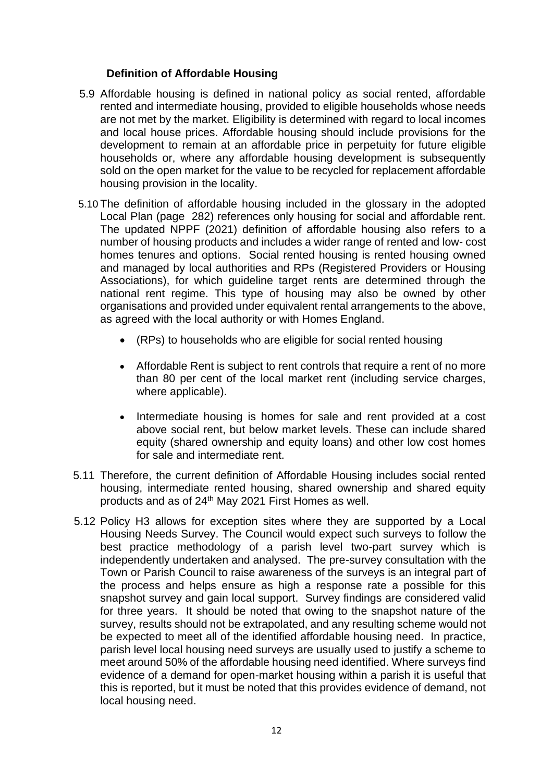## **Definition of Affordable Housing**

- 5.9 Affordable housing is defined in national policy as social rented, affordable rented and intermediate housing, provided to eligible households whose needs are not met by the market. Eligibility is determined with regard to local incomes and local house prices. Affordable housing should include provisions for the development to remain at an affordable price in perpetuity for future eligible households or, where any affordable housing development is subsequently sold on the open market for the value to be recycled for replacement affordable housing provision in the locality.
- 5.10 The definition of affordable housing included in the glossary in the adopted Local Plan (page 282) references only housing for social and affordable rent. The updated NPPF (2021) definition of affordable housing also refers to a number of housing products and includes a wider range of rented and low- cost homes tenures and options. Social rented housing is rented housing owned and managed by local authorities and RPs (Registered Providers or Housing Associations), for which guideline target rents are determined through the national rent regime. This type of housing may also be owned by other organisations and provided under equivalent rental arrangements to the above, as agreed with the local authority or with Homes England.
	- (RPs) to households who are eligible for social rented housing
	- Affordable Rent is subject to rent controls that require a rent of no more than 80 per cent of the local market rent (including service charges, where applicable).
	- Intermediate housing is homes for sale and rent provided at a cost above social rent, but below market levels. These can include shared equity (shared ownership and equity loans) and other low cost homes for sale and intermediate rent.
- 5.11 Therefore, the current definition of Affordable Housing includes social rented housing, intermediate rented housing, shared ownership and shared equity products and as of 24<sup>th</sup> May 2021 First Homes as well.
- 5.12 Policy H3 allows for exception sites where they are supported by a Local Housing Needs Survey. The Council would expect such surveys to follow the best practice methodology of a parish level two-part survey which is independently undertaken and analysed. The pre-survey consultation with the Town or Parish Council to raise awareness of the surveys is an integral part of the process and helps ensure as high a response rate a possible for this snapshot survey and gain local support. Survey findings are considered valid for three years. It should be noted that owing to the snapshot nature of the survey, results should not be extrapolated, and any resulting scheme would not be expected to meet all of the identified affordable housing need. In practice, parish level local housing need surveys are usually used to justify a scheme to meet around 50% of the affordable housing need identified. Where surveys find evidence of a demand for open-market housing within a parish it is useful that this is reported, but it must be noted that this provides evidence of demand, not local housing need.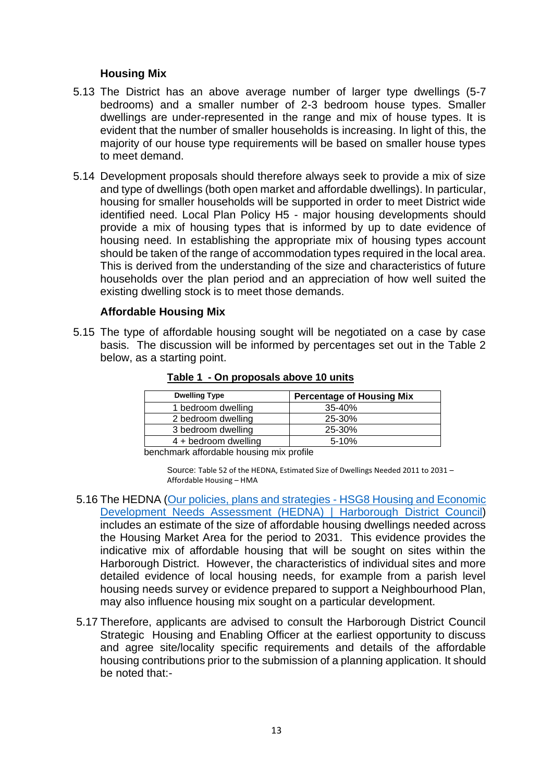#### **Housing Mix**

- 5.13 The District has an above average number of larger type dwellings (5-7 bedrooms) and a smaller number of 2-3 bedroom house types. Smaller dwellings are under-represented in the range and mix of house types. It is evident that the number of smaller households is increasing. In light of this, the majority of our house type requirements will be based on smaller house types to meet demand.
- 5.14 Development proposals should therefore always seek to provide a mix of size and type of dwellings (both open market and affordable dwellings). In particular, housing for smaller households will be supported in order to meet District wide identified need. Local Plan Policy H5 - major housing developments should provide a mix of housing types that is informed by up to date evidence of housing need. In establishing the appropriate mix of housing types account should be taken of the range of accommodation types required in the local area. This is derived from the understanding of the size and characteristics of future households over the plan period and an appreciation of how well suited the existing dwelling stock is to meet those demands.

#### **Affordable Housing Mix**

 5.15 The type of affordable housing sought will be negotiated on a case by case basis. The discussion will be informed by percentages set out in the Table 2 below, as a starting point.

| <b>Dwelling Type</b> | <b>Percentage of Housing Mix</b> |  |  |
|----------------------|----------------------------------|--|--|
| 1 bedroom dwelling   | 35-40%                           |  |  |
| 2 bedroom dwelling   | 25-30%                           |  |  |
| 3 bedroom dwelling   | 25-30%                           |  |  |
| 4 + bedroom dwelling | $5 - 10%$                        |  |  |

#### **Table 1 - On proposals above 10 units**

benchmark affordable housing mix profile

Source: Table 52 of the HEDNA, Estimated Size of Dwellings Needed 2011 to 2031 – Affordable Housing – HMA

- 5.16 The HEDNA [\(Our policies, plans and strategies -](https://www.harborough.gov.uk/directory_record/2263/housing_and_economic_development_needs_assessment_hedna) HSG8 Housing and Economic [Development Needs Assessment \(HEDNA\) | Harborough](https://www.harborough.gov.uk/directory_record/2263/housing_and_economic_development_needs_assessment_hedna) District Council) includes an estimate of the size of affordable housing dwellings needed across the Housing Market Area for the period to 2031. This evidence provides the indicative mix of affordable housing that will be sought on sites within the Harborough District. However, the characteristics of individual sites and more detailed evidence of local housing needs, for example from a parish level housing needs survey or evidence prepared to support a Neighbourhood Plan, may also influence housing mix sought on a particular development.
- 5.17 Therefore, applicants are advised to consult the Harborough District Council Strategic Housing and Enabling Officer at the earliest opportunity to discuss and agree site/locality specific requirements and details of the affordable housing contributions prior to the submission of a planning application. It should be noted that:-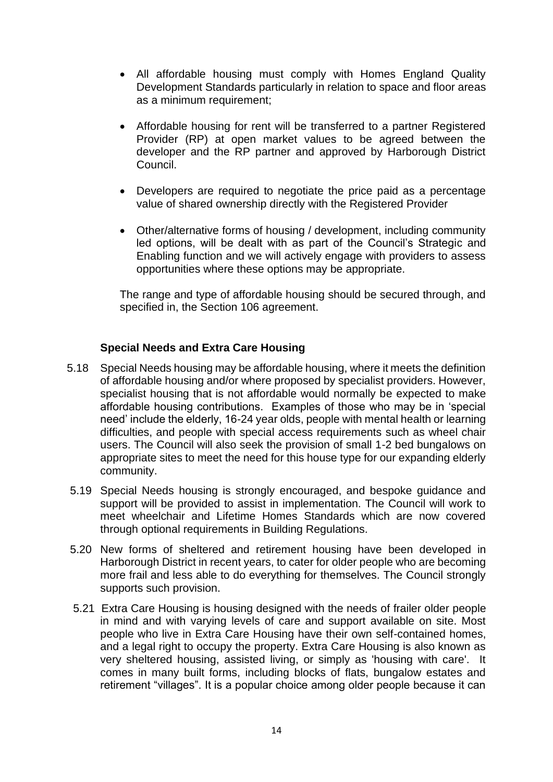- All affordable housing must comply with Homes England Quality Development Standards particularly in relation to space and floor areas as a minimum requirement;
- Affordable housing for rent will be transferred to a partner Registered Provider (RP) at open market values to be agreed between the developer and the RP partner and approved by Harborough District Council.
- Developers are required to negotiate the price paid as a percentage value of shared ownership directly with the Registered Provider
- Other/alternative forms of housing / development, including community led options, will be dealt with as part of the Council's Strategic and Enabling function and we will actively engage with providers to assess opportunities where these options may be appropriate.

The range and type of affordable housing should be secured through, and specified in, the Section 106 agreement.

## **Special Needs and Extra Care Housing**

- 5.18 Special Needs housing may be affordable housing, where it meets the definition of affordable housing and/or where proposed by specialist providers. However, specialist housing that is not affordable would normally be expected to make affordable housing contributions. Examples of those who may be in 'special need' include the elderly, 16-24 year olds, people with mental health or learning difficulties, and people with special access requirements such as wheel chair users. The Council will also seek the provision of small 1-2 bed bungalows on appropriate sites to meet the need for this house type for our expanding elderly community.
- 5.19 Special Needs housing is strongly encouraged, and bespoke guidance and support will be provided to assist in implementation. The Council will work to meet wheelchair and Lifetime Homes Standards which are now covered through optional requirements in Building Regulations.
- 5.20 New forms of sheltered and retirement housing have been developed in Harborough District in recent years, to cater for older people who are becoming more frail and less able to do everything for themselves. The Council strongly supports such provision.
- 5.21 Extra Care Housing is housing designed with the needs of frailer older people in mind and with varying levels of care and support available on site. Most people who live in Extra Care Housing have their own self-contained homes, and a legal right to occupy the property. Extra Care Housing is also known as very sheltered housing, assisted living, or simply as 'housing with care'. It comes in many built forms, including blocks of flats, bungalow estates and retirement "villages". It is a popular choice among older people because it can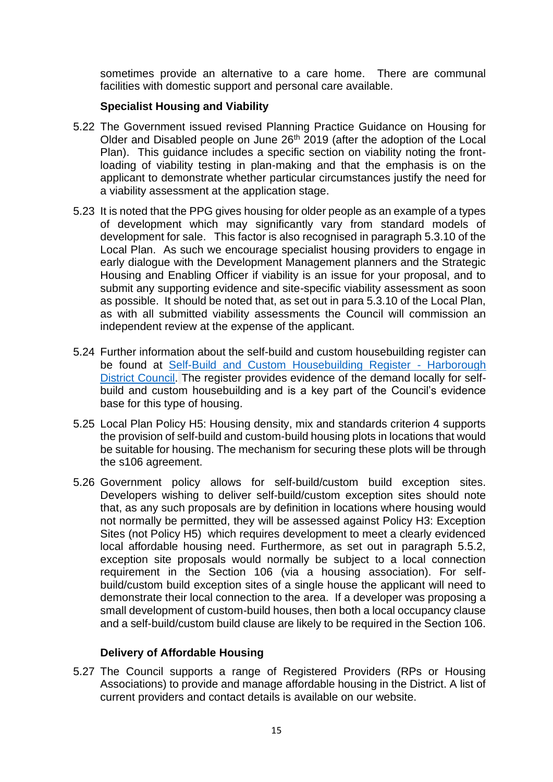sometimes provide an alternative to a care home. There are communal facilities with domestic support and personal care available.

# **Specialist Housing and Viability**

- 5.22 The Government issued revised Planning Practice Guidance on Housing for Older and Disabled people on June 26<sup>th</sup> 2019 (after the adoption of the Local Plan). This guidance includes a specific section on viability noting the frontloading of viability testing in plan-making and that the emphasis is on the applicant to demonstrate whether particular circumstances justify the need for a viability assessment at the application stage.
- 5.23 It is noted that the PPG gives housing for older people as an example of a types of development which may significantly vary from standard models of development for sale. This factor is also recognised in paragraph 5.3.10 of the Local Plan. As such we encourage specialist housing providers to engage in early dialogue with the Development Management planners and the Strategic Housing and Enabling Officer if viability is an issue for your proposal, and to submit any supporting evidence and site-specific viability assessment as soon as possible. It should be noted that, as set out in para 5.3.10 of the Local Plan, as with all submitted viability assessments the Council will commission an independent review at the expense of the applicant.
- 5.24 Further information about the self-build and custom housebuilding register can be found at [Self-Build and Custom Housebuilding Register -](https://www.harborough.gov.uk/forms/form/283/en/self-build_and_custom_housebuilding_register) Harborough [District Council.](https://www.harborough.gov.uk/forms/form/283/en/self-build_and_custom_housebuilding_register) The register provides evidence of the demand locally for selfbuild and custom housebuilding and is a key part of the Council's evidence base for this type of housing.
- 5.25 Local Plan Policy H5: Housing density, mix and standards criterion 4 supports the provision of self-build and custom-build housing plots in locations that would be suitable for housing. The mechanism for securing these plots will be through the s106 agreement.
- 5.26 Government policy allows for self-build/custom build exception sites. Developers wishing to deliver self-build/custom exception sites should note that, as any such proposals are by definition in locations where housing would not normally be permitted, they will be assessed against Policy H3: Exception Sites (not Policy H5) which requires development to meet a clearly evidenced local affordable housing need. Furthermore, as set out in paragraph 5.5.2, exception site proposals would normally be subject to a local connection requirement in the Section 106 (via a housing association). For selfbuild/custom build exception sites of a single house the applicant will need to demonstrate their local connection to the area. If a developer was proposing a small development of custom-build houses, then both a local occupancy clause and a self-build/custom build clause are likely to be required in the Section 106.

#### **Delivery of Affordable Housing**

 5.27 The Council supports a range of Registered Providers (RPs or Housing Associations) to provide and manage affordable housing in the District. A list of current providers and contact details is available on our website.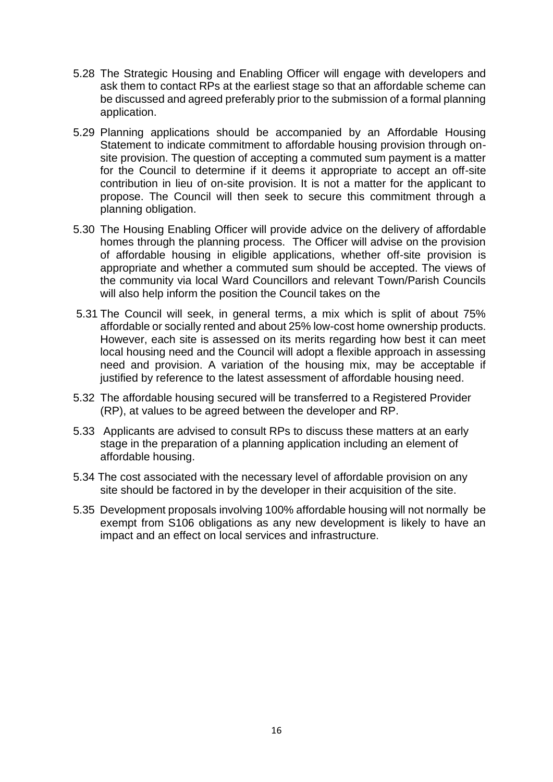- 5.28 The Strategic Housing and Enabling Officer will engage with developers and ask them to contact RPs at the earliest stage so that an affordable scheme can be discussed and agreed preferably prior to the submission of a formal planning application.
- 5.29 Planning applications should be accompanied by an Affordable Housing Statement to indicate commitment to affordable housing provision through onsite provision. The question of accepting a commuted sum payment is a matter for the Council to determine if it deems it appropriate to accept an off-site contribution in lieu of on-site provision. It is not a matter for the applicant to propose. The Council will then seek to secure this commitment through a planning obligation.
- 5.30 The Housing Enabling Officer will provide advice on the delivery of affordable homes through the planning process. The Officer will advise on the provision of affordable housing in eligible applications, whether off-site provision is appropriate and whether a commuted sum should be accepted. The views of the community via local Ward Councillors and relevant Town/Parish Councils will also help inform the position the Council takes on the
- 5.31 The Council will seek, in general terms, a mix which is split of about 75% affordable or socially rented and about 25% low-cost home ownership products. However, each site is assessed on its merits regarding how best it can meet local housing need and the Council will adopt a flexible approach in assessing need and provision. A variation of the housing mix, may be acceptable if justified by reference to the latest assessment of affordable housing need.
- 5.32 The affordable housing secured will be transferred to a Registered Provider (RP), at values to be agreed between the developer and RP.
- 5.33 Applicants are advised to consult RPs to discuss these matters at an early stage in the preparation of a planning application including an element of affordable housing.
- 5.34 The cost associated with the necessary level of affordable provision on any site should be factored in by the developer in their acquisition of the site.
- 5.35 Development proposals involving 100% affordable housing will not normally be exempt from S106 obligations as any new development is likely to have an impact and an effect on local services and infrastructure.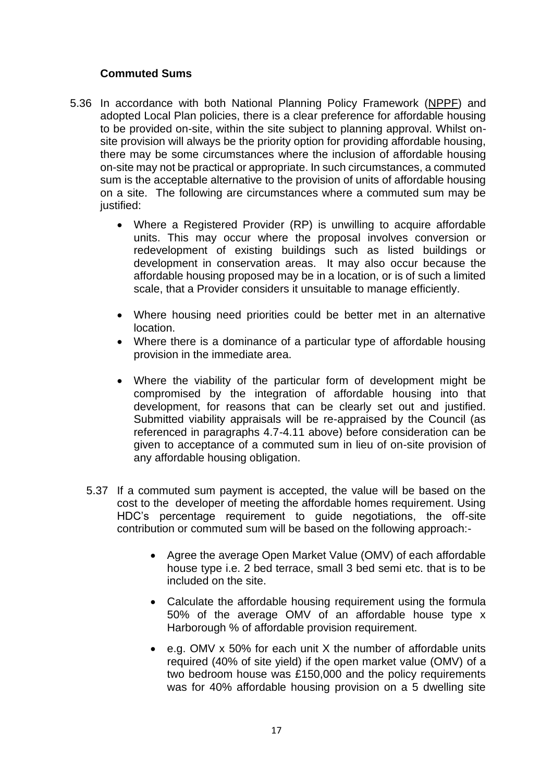### **Commuted Sums**

- 5.36 In accordance with both National Planning Policy Framework [\(NPPF\)](http://planningguidance.communities.gov.uk/blog/policy/achieving-sustainable-development/delivering-sustainable-development/6-delivering-a-wide-choice-of-high-quality-homes/#paragraph_50) and adopted Local Plan policies, there is a clear preference for affordable housing to be provided on-site, within the site subject to planning approval. Whilst onsite provision will always be the priority option for providing affordable housing, there may be some circumstances where the inclusion of affordable housing on-site may not be practical or appropriate. In such circumstances, a commuted sum is the acceptable alternative to the provision of units of affordable housing on a site. The following are circumstances where a commuted sum may be justified:
	- Where a Registered Provider (RP) is unwilling to acquire affordable units. This may occur where the proposal involves conversion or redevelopment of existing buildings such as listed buildings or development in conservation areas. It may also occur because the affordable housing proposed may be in a location, or is of such a limited scale, that a Provider considers it unsuitable to manage efficiently.
	- Where housing need priorities could be better met in an alternative location.
	- Where there is a dominance of a particular type of affordable housing provision in the immediate area.
	- Where the viability of the particular form of development might be compromised by the integration of affordable housing into that development, for reasons that can be clearly set out and justified. Submitted viability appraisals will be re-appraised by the Council (as referenced in paragraphs 4.7-4.11 above) before consideration can be given to acceptance of a commuted sum in lieu of on-site provision of any affordable housing obligation.
	- 5.37 If a commuted sum payment is accepted, the value will be based on the cost to the developer of meeting the affordable homes requirement. Using HDC's percentage requirement to guide negotiations, the off-site contribution or commuted sum will be based on the following approach:-
		- Agree the average Open Market Value (OMV) of each affordable house type i.e. 2 bed terrace, small 3 bed semi etc. that is to be included on the site.
		- Calculate the affordable housing requirement using the formula 50% of the average OMV of an affordable house type x Harborough % of affordable provision requirement.
		- e.g. OMV x 50% for each unit X the number of affordable units required (40% of site yield) if the open market value (OMV) of a two bedroom house was £150,000 and the policy requirements was for 40% affordable housing provision on a 5 dwelling site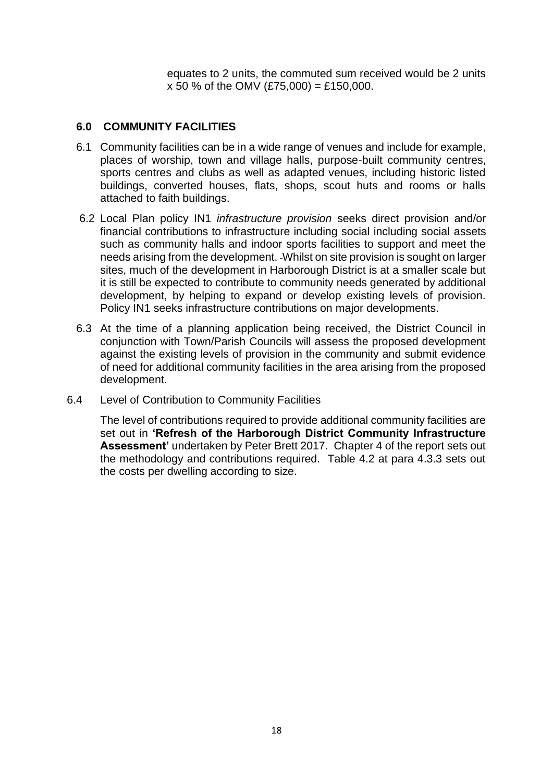equates to 2 units, the commuted sum received would be 2 units  $x 50 %$  of the OMV (£75,000) = £150,000.

### **6.0 COMMUNITY FACILITIES**

- 6.1 Community facilities can be in a wide range of venues and include for example, places of worship, town and village halls, purpose-built community centres, sports centres and clubs as well as adapted venues, including historic listed buildings, converted houses, flats, shops, scout huts and rooms or halls attached to faith buildings.
- 6.2 Local Plan policy IN1 *infrastructure provision* seeks direct provision and/or financial contributions to infrastructure including social including social assets such as community halls and indoor sports facilities to support and meet the needs arising from the development. Whilst on site provision is sought on larger sites, much of the development in Harborough District is at a smaller scale but it is still be expected to contribute to community needs generated by additional development, by helping to expand or develop existing levels of provision. Policy IN1 seeks infrastructure contributions on major developments.
- 6.3 At the time of a planning application being received, the District Council in conjunction with Town/Parish Councils will assess the proposed development against the existing levels of provision in the community and submit evidence of need for additional community facilities in the area arising from the proposed development.
- 6.4 Level of Contribution to Community Facilities

The level of contributions required to provide additional community facilities are set out in **'Refresh of the Harborough District Community Infrastructure Assessment'** undertaken by Peter Brett 2017. Chapter 4 of the report sets out the methodology and contributions required. Table 4.2 at para 4.3.3 sets out the costs per dwelling according to size.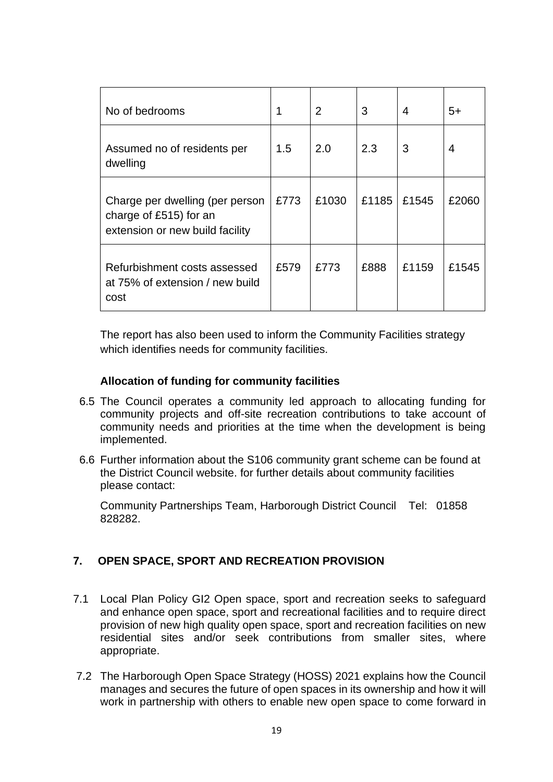| No of bedrooms                                                                               | 1    | $\overline{2}$ | 3     | 4     | $5+$  |
|----------------------------------------------------------------------------------------------|------|----------------|-------|-------|-------|
| Assumed no of residents per<br>dwelling                                                      | 1.5  | 2.0            | 2.3   | 3     | 4     |
| Charge per dwelling (per person<br>charge of £515) for an<br>extension or new build facility | £773 | £1030          | £1185 | £1545 | £2060 |
| Refurbishment costs assessed<br>at 75% of extension / new build<br>cost                      | £579 | £773           | £888  | £1159 | £1545 |

The report has also been used to inform the Community Facilities strategy which identifies needs for community facilities.

## **Allocation of funding for community facilities**

- 6.5 The Council operates a community led approach to allocating funding for community projects and off-site recreation contributions to take account of community needs and priorities at the time when the development is being implemented.
- 6.6 Further information about the S106 community grant scheme can be found at the District Council website. for further details about community facilities please contact:

Community Partnerships Team, Harborough District Council Tel: 01858 828282.

# **7. OPEN SPACE, SPORT AND RECREATION PROVISION**

- 7.1 Local Plan Policy GI2 Open space, sport and recreation seeks to safeguard and enhance open space, sport and recreational facilities and to require direct provision of new high quality open space, sport and recreation facilities on new residential sites and/or seek contributions from smaller sites, where appropriate.
- 7.2 The Harborough Open Space Strategy (HOSS) 2021 explains how the Council manages and secures the future of open spaces in its ownership and how it will work in partnership with others to enable new open space to come forward in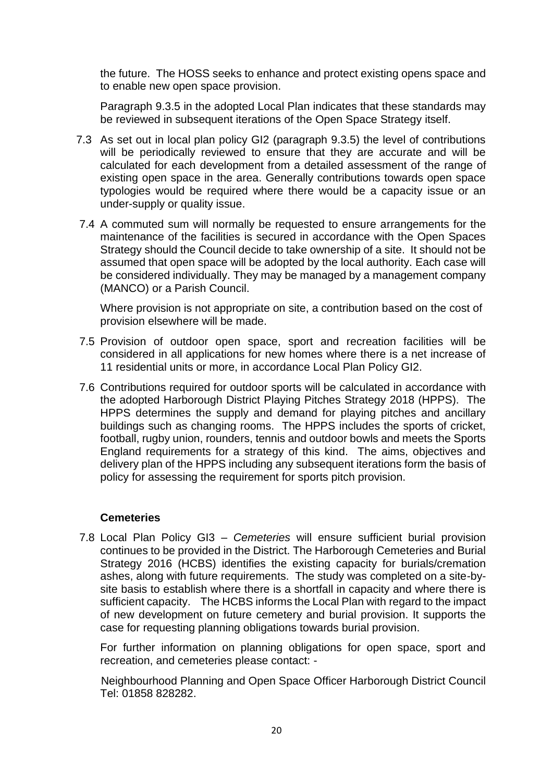the future. The HOSS seeks to enhance and protect existing opens space and to enable new open space provision.

Paragraph 9.3.5 in the adopted Local Plan indicates that these standards may be reviewed in subsequent iterations of the Open Space Strategy itself.

- 7.3 As set out in local plan policy GI2 (paragraph 9.3.5) the level of contributions will be periodically reviewed to ensure that they are accurate and will be calculated for each development from a detailed assessment of the range of existing open space in the area. Generally contributions towards open space typologies would be required where there would be a capacity issue or an under-supply or quality issue.
- 7.4 A commuted sum will normally be requested to ensure arrangements for the maintenance of the facilities is secured in accordance with the Open Spaces Strategy should the Council decide to take ownership of a site. It should not be assumed that open space will be adopted by the local authority. Each case will be considered individually. They may be managed by a management company (MANCO) or a Parish Council.

Where provision is not appropriate on site, a contribution based on the cost of provision elsewhere will be made.

- 7.5 Provision of outdoor open space, sport and recreation facilities will be considered in all applications for new homes where there is a net increase of 11 residential units or more, in accordance Local Plan Policy GI2.
- 7.6 Contributions required for outdoor sports will be calculated in accordance with the adopted Harborough District Playing Pitches Strategy 2018 (HPPS). The HPPS determines the supply and demand for playing pitches and ancillary buildings such as changing rooms. The HPPS includes the sports of cricket, football, rugby union, rounders, tennis and outdoor bowls and meets the Sports England requirements for a strategy of this kind. The aims, objectives and delivery plan of the HPPS including any subsequent iterations form the basis of policy for assessing the requirement for sports pitch provision.

#### **Cemeteries**

 7.8 Local Plan Policy GI3 – *Cemeteries* will ensure sufficient burial provision continues to be provided in the District. The Harborough Cemeteries and Burial Strategy 2016 (HCBS) identifies the existing capacity for burials/cremation ashes, along with future requirements. The study was completed on a site-bysite basis to establish where there is a shortfall in capacity and where there is sufficient capacity. The HCBS informs the Local Plan with regard to the impact of new development on future cemetery and burial provision. It supports the case for requesting planning obligations towards burial provision.

For further information on planning obligations for open space, sport and recreation, and cemeteries please contact: -

 Neighbourhood Planning and Open Space Officer Harborough District Council Tel: 01858 828282.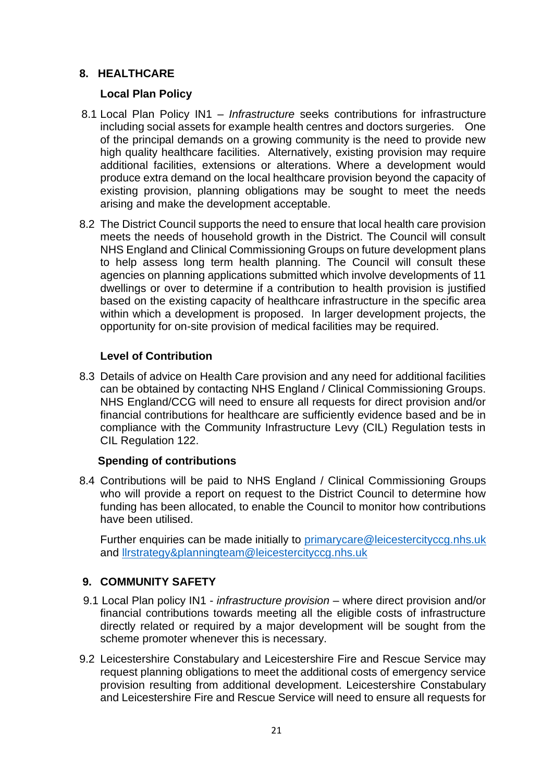# **8. HEALTHCARE**

# **Local Plan Policy**

- 8.1 Local Plan Policy IN1 *Infrastructure* seeks contributions for infrastructure including social assets for example health centres and doctors surgeries. One of the principal demands on a growing community is the need to provide new high quality healthcare facilities. Alternatively, existing provision may require additional facilities, extensions or alterations. Where a development would produce extra demand on the local healthcare provision beyond the capacity of existing provision, planning obligations may be sought to meet the needs arising and make the development acceptable.
- 8.2 The District Council supports the need to ensure that local health care provision meets the needs of household growth in the District. The Council will consult NHS England and Clinical Commissioning Groups on future development plans to help assess long term health planning. The Council will consult these agencies on planning applications submitted which involve developments of 11 dwellings or over to determine if a contribution to health provision is justified based on the existing capacity of healthcare infrastructure in the specific area within which a development is proposed. In larger development projects, the opportunity for on-site provision of medical facilities may be required.

# **Level of Contribution**

 8.3 Details of advice on Health Care provision and any need for additional facilities can be obtained by contacting NHS England / Clinical Commissioning Groups. NHS England/CCG will need to ensure all requests for direct provision and/or financial contributions for healthcare are sufficiently evidence based and be in compliance with the Community Infrastructure Levy (CIL) Regulation tests in CIL Regulation 122.

# **Spending of contributions**

 8.4 Contributions will be paid to NHS England / Clinical Commissioning Groups who will provide a report on request to the District Council to determine how funding has been allocated, to enable the Council to monitor how contributions have been utilised.

Further enquiries can be made initially to [primarycare@leicestercityccg.nhs.uk](mailto:primarycare@leicestercityccg.nhs.uk) and [llrstrategy&planningteam@leicestercityccg.nhs.uk](mailto:llrstrategy&planningteam@leicestercityccg.nhs.uk) 

# **9. COMMUNITY SAFETY**

- 9.1 Local Plan policy IN1 *infrastructure provision* where direct provision and/or financial contributions towards meeting all the eligible costs of infrastructure directly related or required by a major development will be sought from the scheme promoter whenever this is necessary.
- 9.2 Leicestershire Constabulary and Leicestershire Fire and Rescue Service may request planning obligations to meet the additional costs of emergency service provision resulting from additional development. Leicestershire Constabulary and Leicestershire Fire and Rescue Service will need to ensure all requests for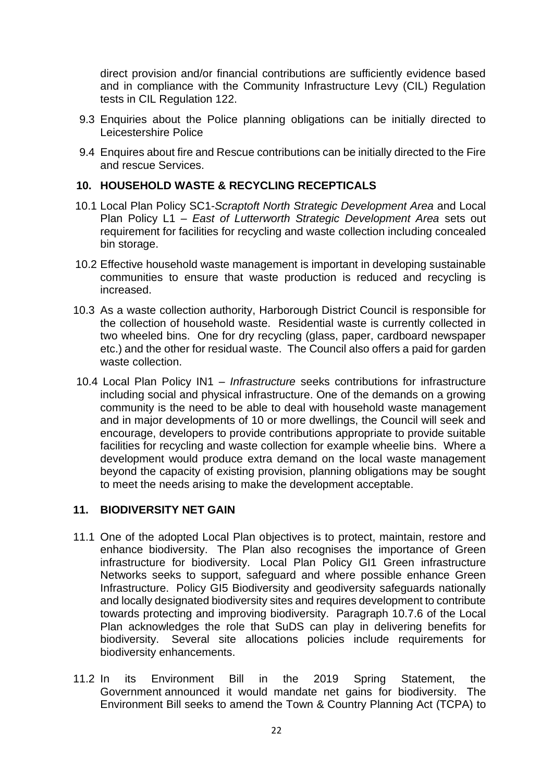direct provision and/or financial contributions are sufficiently evidence based and in compliance with the Community Infrastructure Levy (CIL) Regulation tests in CIL Regulation 122.

- 9.3 Enquiries about the Police planning obligations can be initially directed to Leicestershire Police
- 9.4 Enquires about fire and Rescue contributions can be initially directed to the Fire and rescue Services.

#### **10. HOUSEHOLD WASTE & RECYCLING RECEPTICALS**

- 10.1 Local Plan Policy SC1-*Scraptoft North Strategic Development Area* and Local Plan Policy L1 – *East of Lutterworth Strategic Development Area* sets out requirement for facilities for recycling and waste collection including concealed bin storage.
- 10.2 Effective household waste management is important in developing sustainable communities to ensure that waste production is reduced and recycling is increased.
- 10.3 As a waste collection authority, Harborough District Council is responsible for the collection of household waste. Residential waste is currently collected in two wheeled bins. One for dry recycling (glass, paper, cardboard newspaper etc.) and the other for residual waste. The Council also offers a paid for garden waste collection.
- 10.4 Local Plan Policy IN1 *Infrastructure* seeks contributions for infrastructure including social and physical infrastructure. One of the demands on a growing community is the need to be able to deal with household waste management and in major developments of 10 or more dwellings, the Council will seek and encourage, developers to provide contributions appropriate to provide suitable facilities for recycling and waste collection for example wheelie bins. Where a development would produce extra demand on the local waste management beyond the capacity of existing provision, planning obligations may be sought to meet the needs arising to make the development acceptable.

#### **11. BIODIVERSITY NET GAIN**

- 11.1 One of the adopted Local Plan objectives is to protect, maintain, restore and enhance biodiversity. The Plan also recognises the importance of Green infrastructure for biodiversity. Local Plan Policy GI1 Green infrastructure Networks seeks to support, safeguard and where possible enhance Green Infrastructure. Policy GI5 Biodiversity and geodiversity safeguards nationally and locally designated biodiversity sites and requires development to contribute towards protecting and improving biodiversity. Paragraph 10.7.6 of the Local Plan acknowledges the role that SuDS can play in delivering benefits for biodiversity. Several site allocations policies include requirements for biodiversity enhancements.
- 11.2 In its Environment Bill in the 2019 Spring Statement, the Government announced it would mandate net gains for biodiversity. The Environment Bill seeks to amend the Town & Country Planning Act (TCPA) to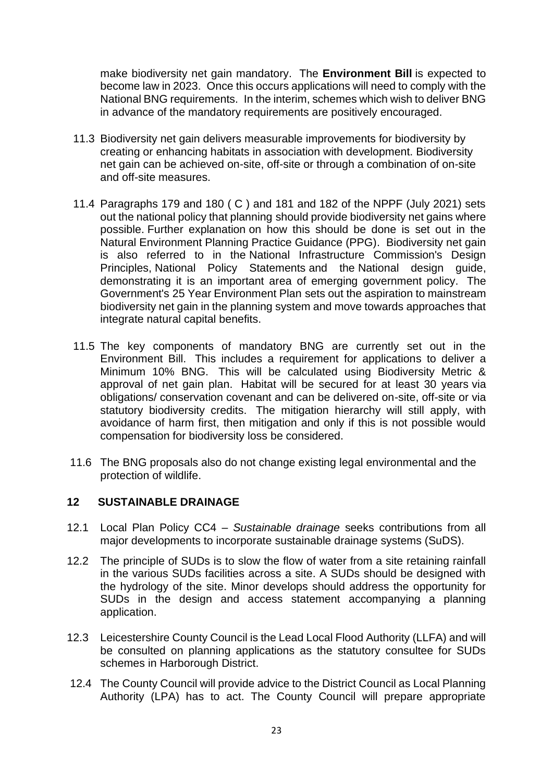make biodiversity net gain mandatory. The **[Environment Bill](https://www.gov.uk/government/publications/environment-bill-2020)** is expected to become law in 2023. Once this occurs applications will need to comply with the National BNG requirements. In the interim, schemes which wish to deliver BNG in advance of the mandatory requirements are positively encouraged.

- 11.3 Biodiversity net gain delivers measurable improvements for biodiversity by creating or enhancing habitats in association with development. Biodiversity net gain can be achieved on-site, off-site or through a combination of on-site and off-site measures.
- 11.4 Paragraphs 179 and 180 ( C ) and 181 and 182 of the NPPF (July 2021) sets out the national policy that planning should provide biodiversity net gains where possible. [Further explanation](https://www.gov.uk/guidance/natural-environment#biodiversity-geodiversity-and-ecosystems) on how this should be done is set out in the [Natural Environment Planning Practice Guidance \(PPG\).](https://www.gov.uk/guidance/natural-environment) Biodiversity net gain is also referred to in the [National Infrastructure Commission's Design](https://nic.org.uk/app/uploads/NIC-Design-Principles.pdf)  [Principles,](https://nic.org.uk/app/uploads/NIC-Design-Principles.pdf) [National Policy Statements](https://infrastructure.planninginspectorate.gov.uk/legislation-and-advice/national-policy-statements/) and the [National design guide,](https://assets.publishing.service.gov.uk/government/uploads/system/uploads/attachment_data/file/962113/National_design_guide.pdf) demonstrating it is an important area of emerging government policy. The Government's [25 Year Environment Plan](https://assets.publishing.service.gov.uk/government/uploads/system/uploads/attachment_data/file/693158/25-year-environment-plan.pdf) sets out the aspiration to mainstream biodiversity net gain in the planning system and move towards approaches that integrate natural capital benefits.
- 11.5 The key components of mandatory BNG are currently set out in the Environment Bill. This includes a requirement for applications to deliver a Minimum 10% BNG. This will be calculated using Biodiversity Metric & approval of net gain plan. Habitat will be secured for at least 30 years via obligations/ conservation covenant and can be delivered on-site, off-site or via statutory biodiversity credits. The mitigation hierarchy will still apply, with avoidance of harm first, then mitigation and only if this is not possible would compensation for biodiversity loss be considered.
- 11.6 The BNG proposals also do not change existing legal environmental and the protection of wildlife.

#### **12 SUSTAINABLE DRAINAGE**

- 12.1 Local Plan Policy CC4 *Sustainable drainage* seeks contributions from all major developments to incorporate sustainable drainage systems (SuDS).
- 12.2 The principle of SUDs is to slow the flow of water from a site retaining rainfall in the various SUDs facilities across a site. A SUDs should be designed with the hydrology of the site. Minor develops should address the opportunity for SUDs in the design and access statement accompanying a planning application.
- 12.3 Leicestershire County Council is the Lead Local Flood Authority (LLFA) and will be consulted on planning applications as the statutory consultee for SUDs schemes in Harborough District.
- 12.4 The County Council will provide advice to the District Council as Local Planning Authority (LPA) has to act. The County Council will prepare appropriate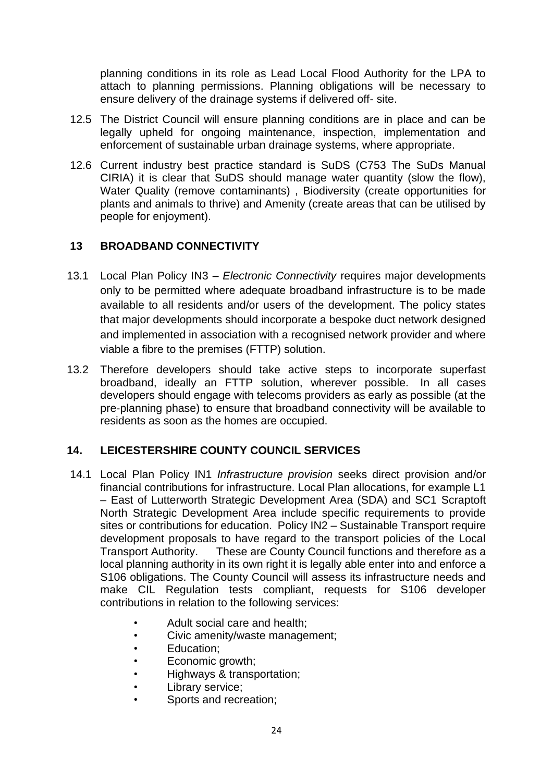planning conditions in its role as Lead Local Flood Authority for the LPA to attach to planning permissions. Planning obligations will be necessary to ensure delivery of the drainage systems if delivered off- site.

- 12.5 The District Council will ensure planning conditions are in place and can be legally upheld for ongoing maintenance, inspection, implementation and enforcement of sustainable urban drainage systems, where appropriate.
- 12.6 Current industry best practice standard is SuDS (C753 The SuDs Manual CIRIA) it is clear that SuDS should manage water quantity (slow the flow), Water Quality (remove contaminants) , Biodiversity (create opportunities for plants and animals to thrive) and Amenity (create areas that can be utilised by people for enjoyment).

# **13 BROADBAND CONNECTIVITY**

- 13.1 Local Plan Policy IN3 *– Electronic Connectivity* requires major developments only to be permitted where adequate broadband infrastructure is to be made available to all residents and/or users of the development. The policy states that major developments should incorporate a bespoke duct network designed and implemented in association with a recognised network provider and where viable a fibre to the premises (FTTP) solution.
- 13.2 Therefore developers should take active steps to incorporate superfast broadband, ideally an FTTP solution, wherever possible. In all cases developers should engage with telecoms providers as early as possible (at the pre-planning phase) to ensure that broadband connectivity will be available to residents as soon as the homes are occupied.

# **14. LEICESTERSHIRE COUNTY COUNCIL SERVICES**

- 14.1 Local Plan Policy IN1 *Infrastructure provision* seeks direct provision and/or financial contributions for infrastructure. Local Plan allocations, for example L1 – East of Lutterworth Strategic Development Area (SDA) and SC1 Scraptoft North Strategic Development Area include specific requirements to provide sites or contributions for education. Policy IN2 – Sustainable Transport require development proposals to have regard to the transport policies of the Local Transport Authority. These are County Council functions and therefore as a local planning authority in its own right it is legally able enter into and enforce a S106 obligations. The County Council will assess its infrastructure needs and make CIL Regulation tests compliant, requests for S106 developer contributions in relation to the following services:
	- Adult social care and health;
	- Civic amenity/waste management;
	- Education;
	- Economic growth;
	- Highways & transportation;
	- Library service;
	- Sports and recreation: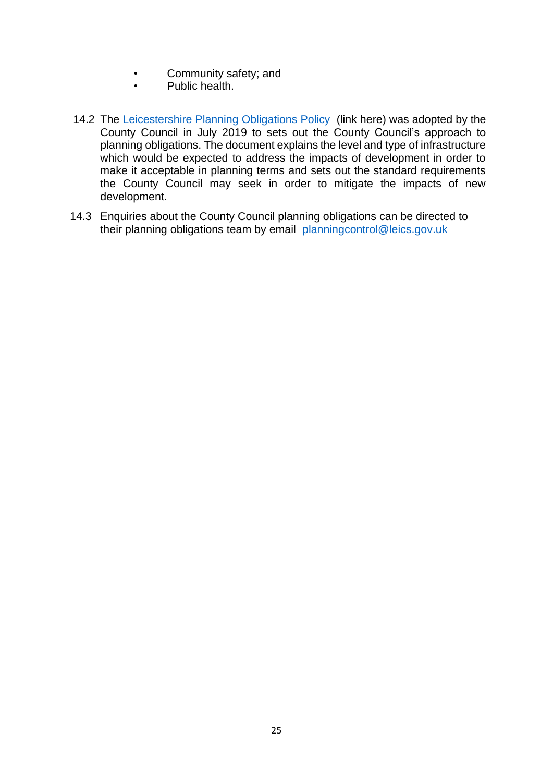- Community safety; and
- Public health.
- 14.2 The [Leicestershire Planning Obligations Policy](http://www.leics.gov.uk/lpop_version_4_final.pdf) (link here) was adopted by the County Council in July 2019 to sets out the County Council's approach to planning obligations. The document explains the level and type of infrastructure which would be expected to address the impacts of development in order to make it acceptable in planning terms and sets out the standard requirements the County Council may seek in order to mitigate the impacts of new development.
- 14.3 Enquiries about the County Council planning obligations can be directed to their planning obligations team by email [planningcontrol@leics.gov.uk](mailto:planningcontrol@leics.gov.uk)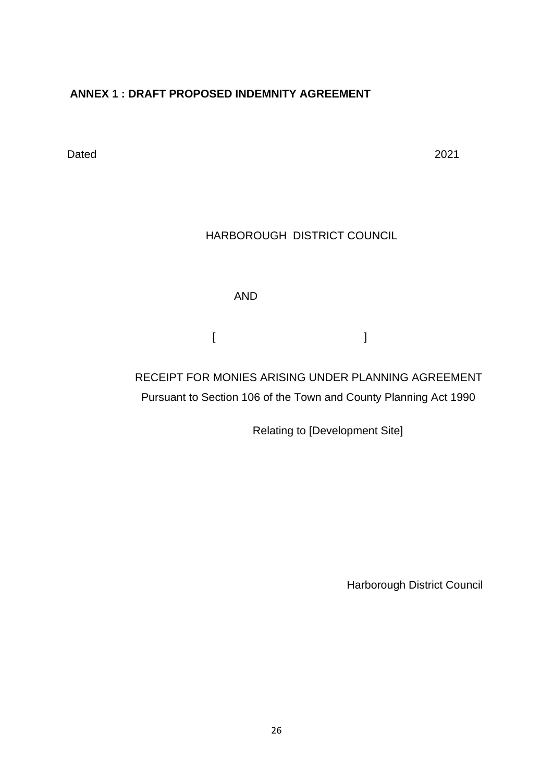# **ANNEX 1 : DRAFT PROPOSED INDEMNITY AGREEMENT**

Dated 2021

# HARBOROUGH DISTRICT COUNCIL

AND

[ ]

 RECEIPT FOR MONIES ARISING UNDER PLANNING AGREEMENT Pursuant to Section 106 of the Town and County Planning Act 1990

Relating to [Development Site]

**Harborough District Council**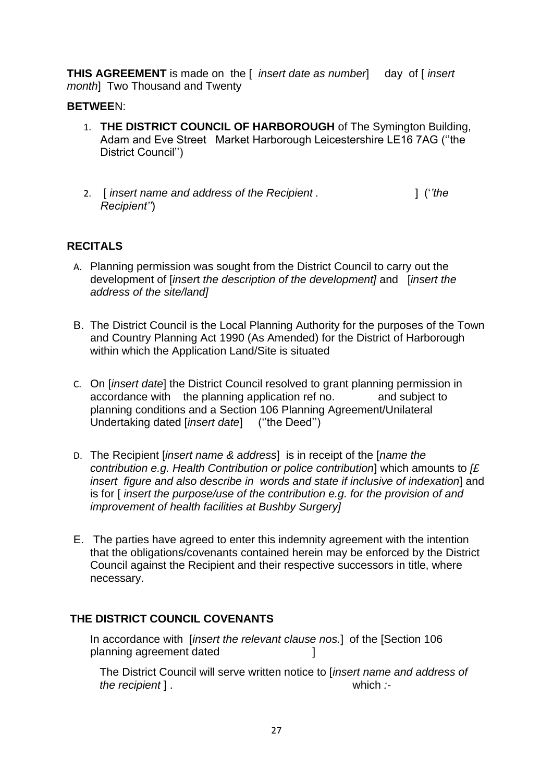**THIS AGREEMENT** is made on the [ *insert date as number*] day of [ *insert month*] Two Thousand and Twenty

#### **BETWEE**N:

- 1. **THE DISTRICT COUNCIL OF HARBOROUGH** of The Symington Building, Adam and Eve Street Market Harborough Leicestershire LE16 7AG (''the District Council'')
- 2. [ *insert name and address of the Recipient .* ] ('*'the Recipient''*)

## **RECITALS**

- A. Planning permission was sought from the District Council to carry out the development of [*inser*t *the description of the development]* and [*insert the address of the site/land]*
- B. The District Council is the Local Planning Authority for the purposes of the Town and Country Planning Act 1990 (As Amended) for the District of Harborough within which the Application Land/Site is situated
- C. On [*insert date*] the District Council resolved to grant planning permission in accordance with the planning application ref no. and subject to planning conditions and a Section 106 Planning Agreement/Unilateral Undertaking dated [*insert date*] (''the Deed'')
- D. The Recipient [*insert name & address*] is in receipt of the [*name the contribution e.g. Health Contribution or police contribution*] which amounts to *[£ insert figure and also describe in words and state if inclusive of indexation*] and is for [ *insert the purpose/use of the contribution e.g. for the provision of and improvement of health facilities at Bushby Surgery]*
- E. The parties have agreed to enter this indemnity agreement with the intention that the obligations/covenants contained herein may be enforced by the District Council against the Recipient and their respective successors in title, where necessary.

#### **THE DISTRICT COUNCIL COVENANTS**

In accordance with [*insert the relevant clause nos.*] of the [Section 106 planning agreement dated **in the set of the set of the set of the set of the set of the set of the set of the s** 

The District Council will serve written notice to [*insert name and address of the recipient* ] . which *:-*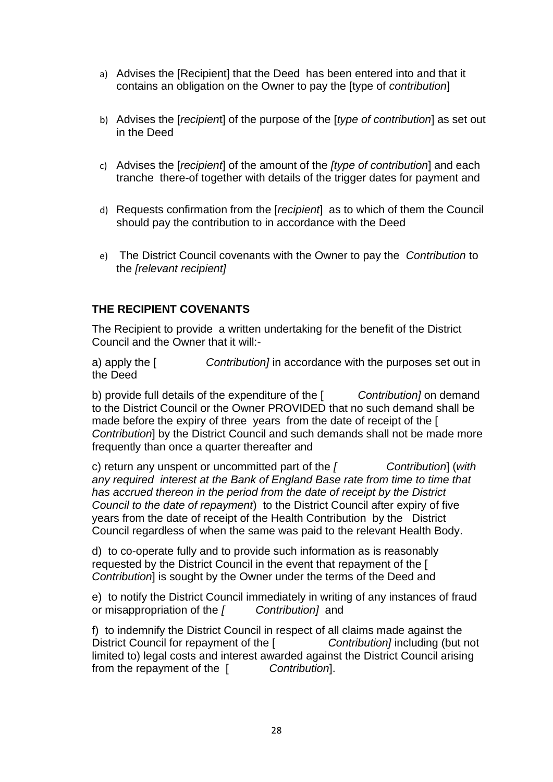- a) Advises the [Recipient] that the Deed has been entered into and that it contains an obligation on the Owner to pay the [type of *contribution*]
- b) Advises the [*recipien*t] of the purpose of the [*type of contribution*] as set out in the Deed
- c) Advises the [*recipient*] of the amount of the *[type of contribution*] and each tranche there-of together with details of the trigger dates for payment and
- d) Requests confirmation from the [*recipient*] as to which of them the Council should pay the contribution to in accordance with the Deed
- e) The District Council covenants with the Owner to pay the *Contribution* to the *[relevant recipient]*

#### **THE RECIPIENT COVENANTS**

The Recipient to provide a written undertaking for the benefit of the District Council and the Owner that it will:-

a) apply the [ *Contribution]* in accordance with the purposes set out in the Deed

b) provide full details of the expenditure of the [ *Contribution]* on demand to the District Council or the Owner PROVIDED that no such demand shall be made before the expiry of three years from the date of receipt of the [ *Contribution*] by the District Council and such demands shall not be made more frequently than once a quarter thereafter and

c) return any unspent or uncommitted part of the *[ Contribution*] (*with any required interest at the Bank of England Base rate from time to time that has accrued thereon in the period from the date of receipt by the District Council to the date of repayment*) to the District Council after expiry of five years from the date of receipt of the Health Contribution by the District Council regardless of when the same was paid to the relevant Health Body.

d) to co-operate fully and to provide such information as is reasonably requested by the District Council in the event that repayment of the [ *Contribution*] is sought by the Owner under the terms of the Deed and

e) to notify the District Council immediately in writing of any instances of fraud or misappropriation of the *[ Contribution]* and

f) to indemnify the District Council in respect of all claims made against the District Council for repayment of the [ *Contribution]* including (but not limited to) legal costs and interest awarded against the District Council arising from the repayment of the [ *Contribution*].